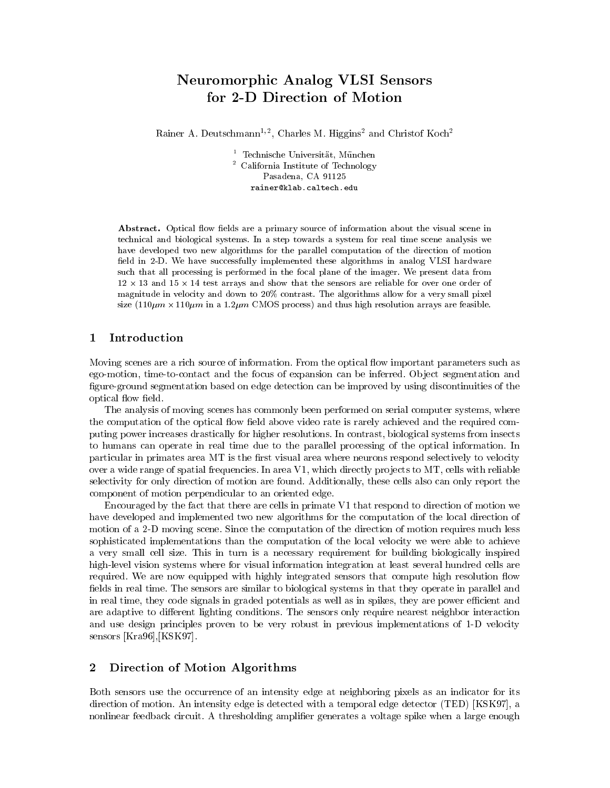# Neuromorphic Analog VLSI Sensors for 2-D Direction of Motion

Rainer A. Deutschmann<sup>-7-</sup>, Charles M. Higgins<sup>-</sup> and Christof Koch<sup>-</sup>

<sup>1</sup> Technische Universitat, Munchen <sup>2</sup> California Institute of Technology Pasadena, CA 91125 rainer@klab.caltech.edu

Abstract. Optical flow fields are a primary source of information about the visual scene in technical and biological systems. In a step towards a system for real time scene analysis we have developed two new algorithms for the parallel computation of the direction of motion field in 2-D. We have successfully implemented these algorithms in analog VLSI hardware such that all processing is performed in the focal plane of the imager. We present data from 12 - 13 and 15 - 14 test arrays and show that the sensors are reliable for over one order of magnitude in velocity and down to 20% contrast. The algorithms allow for a very small pixel size (110m process) and the interest of the comos processes) and the feather arrays are feather feather than  $\alpha$ 

### 1 Introduction

Moving scenes are a rich source of information. From the optical flow important parameters such as ego-motion, time-to-contact and the focus of expansion can be inferred. Object segmentation and figure-ground segmentation based on edge detection can be improved by using discontinuities of the optical flow field.

The analysis of moving scenes has commonly been performed on serial computer systems, where the computation of the optical flow field above video rate is rarely achieved and the required computing power increases drastically for higher resolutions. In contrast, biological systems from insects to humans can operate in real time due to the parallel processing of the optical information. In particular in primates area MT is the first visual area where neurons respond selectively to velocity over a wide range of spatial frequencies. In area  $V1$ , which directly projects to  $MT$ , cells with reliable selectivity for only direction of motion are found. Additionally, these cells also can only report the component of motion perpendicular to an oriented edge.

Encouraged by the fact that there are cells in primate V1 that respond to direction of motion we have developed and implemented two new algorithms for the computation of the local direction of motion of a 2-D moving scene. Since the computation of the direction of motion requires much less sophisticated implementations than the computation of the local velocity we were able to achieve a very small cell size. This in turn is a necessary requirement for building biologically inspired high-level vision systems where for visual information integration at least several hundred cells are required. We are now equipped with highly integrated sensors that compute high resolution flow fields in real time. The sensors are similar to biological systems in that they operate in parallel and in real time, they code signals in graded potentials as well as in spikes, they are power efficient and are adaptive to different lighting conditions. The sensors only require nearest neighbor interaction and use design principles proven to be very robust in previous implementations of 1-D velocity sensors [Kra96],[KSK97].

# 2 Direction of Motion Algorithms

Both sensors use the occurrence of an intensity edge at neighboring pixels as an indicator for its direction of motion. An intensity edge is detected with a temporal edge detector (TED) [KSK97], a nonlinear feedback circuit. A thresholding amplifier generates a voltage spike when a large enough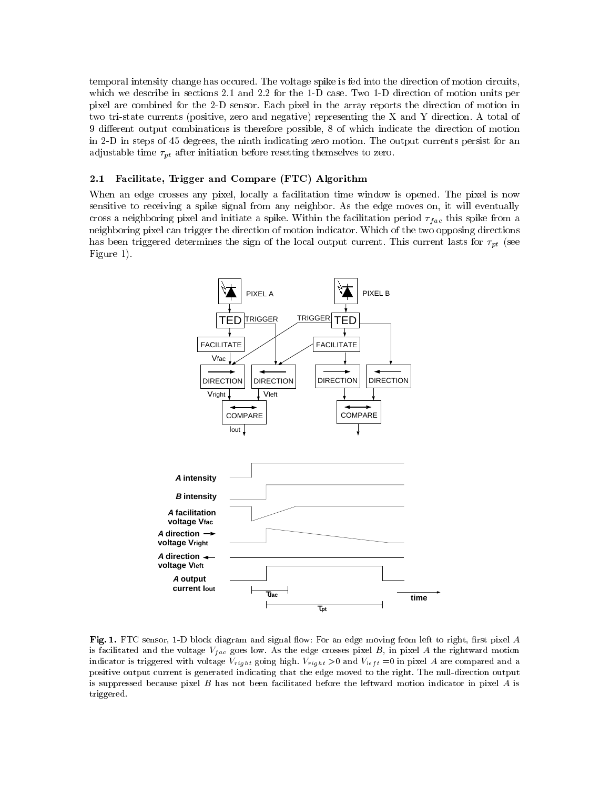temporal intensity change has occured. The voltage spike is fed into the direction of motion circuits, which we describe in sections 2.1 and 2.2 for the 1-D case. Two 1-D direction of motion units per pixel are combined for the 2-D sensor. Each pixel in the array reports the direction of motion in two tri-state currents (positive, zero and negative) representing the X and Y direction. A total of 9 different output combinations is therefore possible, 8 of which indicate the direction of motion in 2-D in steps of 45 degrees, the ninth indicating zero motion. The output currents persist for an adjustable times in  $\mu$  after the formal process to a function  $\alpha$  themselves to zero.

#### 2.1 Facilitate, Trigger and Compare (FTC) Algorithm

When an edge crosses any pixel, locally a facilitation time window is opened. The pixel is now sensitive to receiving a spike signal from any neighbor. As the edge moves on, it will eventually cross a neighboring pixel and initiate a spike. Within the facilitation period  $\eta_{ac}$  this spike from a neighboring pixel can trigger the direction of motion indicator. Which of the two opposing directions has been triggered determines the sign of the sign of the local output current. The local output current last  $\mu$ Figure 1).



Fig. 1. FTC sensor, 1-D block diagram and signal flow: For an edge moving from left to right, first pixel A is facilitated and the voltage  $v_{fac}$  goes low. As the edge crosses pixel  $B_+$  in pixel A the rightward motion indicator is triggered with voltage  $v_{right}$  going migh.  $v_{right} > 0$  and  $v_{left} = 0$  in pixel A are compared and a positive output current is generated indicating that the edge moved to the right. The null-direction output is suppressed because pixel  $B$  has not been facilitated before the leftward motion indicator in pixel  $A$  is triggered.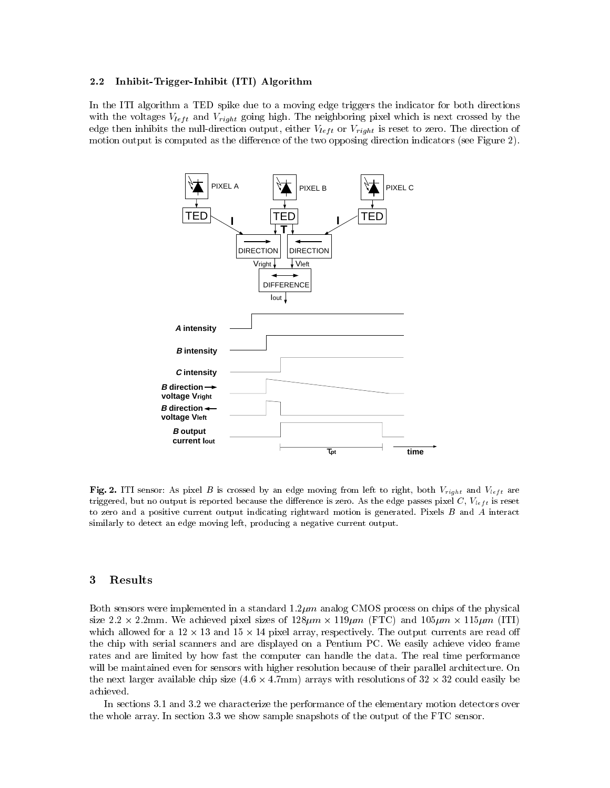#### 2.2 Inhibit-Trigger-Inhibit (ITI) Algorithm

In the ITI algorithm a TED spike due to a moving edge triggers the indicator for both directions with the voltages  $V_{left}$  and  $V_{right}$  going night. The neighboring place which is next crossed by the edge then inhibits the null-direction output, either  $v_{left}$  or  $v_{right}$  is reset to zero. The direction of motion output is computed as the difference of the two opposing direction indicators (see Figure 2).



**Fig. 2.** ITI sensor. As pixel B is crossed by an edge moving from few to right, both  $v_{\text{right}}$  and  $v_{\text{left}}$  are triggered, but no output is reported because the dierence is zero. As the edge passes pixel C, Vlef t is reset to zero and a positive current output indicating rightward motion is generated. Pixels B and A interact similarly to detect an edge moving left, producing a negative current output.

# 3 Results

Both sensors were implemented in a standard  $1.2 \mu m$  analog CMOS process on chips of the physical size 2:2 - 2:2mm. We achieved pixel sizes of 128m - 119m (FTC) and 105m - 115m (ITI) which also for a 12 - 13 and 13  $\,$  and 13  $\,$  13  $\,$  13  $\,$  13  $\,$  13  $\,$  13  $\,$  13  $\,$  13  $\,$  13  $\,$  13  $\,$  13  $\,$  13  $\,$  13  $\,$  13  $\,$  13  $\,$  13  $\,$  13  $\,$  13  $\,$  13  $\,$  13  $\,$  13  $\,$  13  $\,$  13 the chip with serial scanners and are displayed on a Pentium PC. We easily achieve video frame rates and are limited by how fast the computer can handle the data. The real time performance will be maintained even for sensors with higher resolution because of their parallel architecture. On the model includes available chip sizes (4:6 - 1:7mm) arrays with resolutions of 32 - 1:30 - 1:30 - 1:30 - 1:3 achieved.

In sections 3.1 and 3.2 we characterize the performance of the elementary motion detectors over the whole array. In section 3.3 we show sample snapshots of the output of the FTC sensor.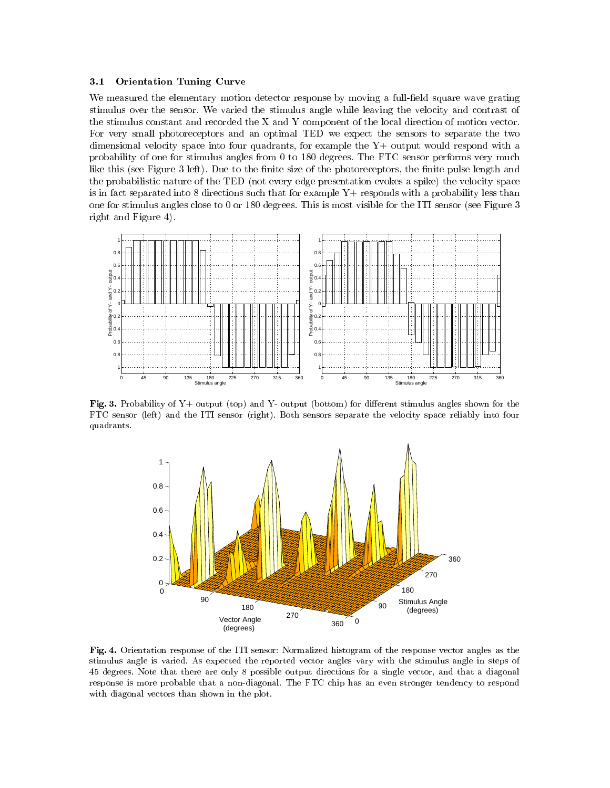#### 3.1 Orientation Tuning Curve

We measured the elementary motion detector response by moving a full-field square wave grating stimulus over the sensor. We varied the stimulus angle while leaving the velocity and contrast of the stimulus constant and recorded the X and Y component of the local direction of motion vector. For very small photoreceptors and an optimal TED we expect the sensors to separate the two dimensional velocity space into four quadrants, for example the  $Y+$  output would respond with a probability of one for stimulus angles from 0 to 180 degrees. The FTC sensor performs very much like this (see Figure 3 left). Due to the finite size of the photoreceptors, the finite pulse length and the probabilistic nature of the TED (not every edge presentation evokes a spike) the velocity space is in fact separated into 8 directions such that for example  $Y+$  responds with a probability less than one for stimulus angles close to 0 or 180 degrees. This is most visible for the ITI sensor (see Figure 3 right and Figure 4).



Fig. 3. Probability of  $Y+$  output (top) and  $Y-$  output (bottom) for different stimulus angles shown for the FTC sensor (left) and the ITI sensor (right). Both sensors separate the velocity space reliably into four quadrants.



Fig. 4. Orientation response of the ITI sensor: Normalized histogram of the response vector angles as the stimulus angle is varied. As expected the reported vector angles vary with the stimulus angle in steps of 45 degrees. Note that there are only 8 possible output directions for a single vector, and that a diagonal response is more probable that a non-diagonal. The FTC chip has an even stronger tendency to respond with diagonal vectors than shown in the plot.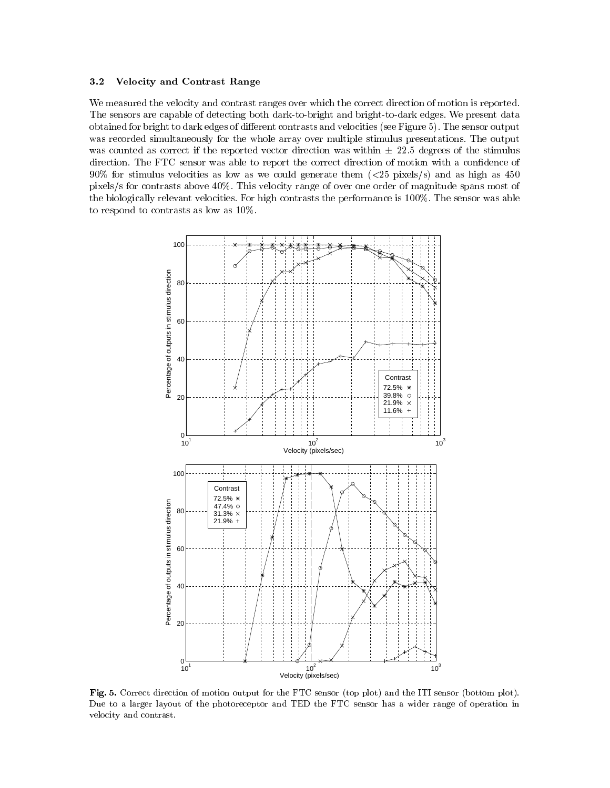#### 3.2 Velocity and Contrast Range

We measured the velocity and contrast ranges over which the correct direction of motion is reported. The sensors are capable of detecting both dark-to-bright and bright-to-dark edges. We present data obtained for bright to dark edges of different contrasts and velocities (see Figure 5). The sensor output was recorded simultaneously for the whole array over multiple stimulus presentations. The output was counted as correct if the reported vector direction was within  $\pm$  22.5 degrees of the stimulus direction. The FTC sensor was able to report the correct direction of motion with a confidence of  $90\%$  for stimulus velocities as low as we could generate them ( $\langle 25 \text{ pixels/s} \rangle$  and as high as  $450$ pixels/s for contrasts above 40%. This velocity range of over one order of magnitude spans most of the biologically relevant velocities. For high contrasts the performance is 100%. The sensor was able to respond to contrasts as low as 10%.



Fig. 5. Correct direction of motion output for the FTC sensor (top plot) and the ITI sensor (bottom plot). Due to a larger layout of the photoreceptor and TED the FTC sensor has a wider range of operation in velocity and contrast.